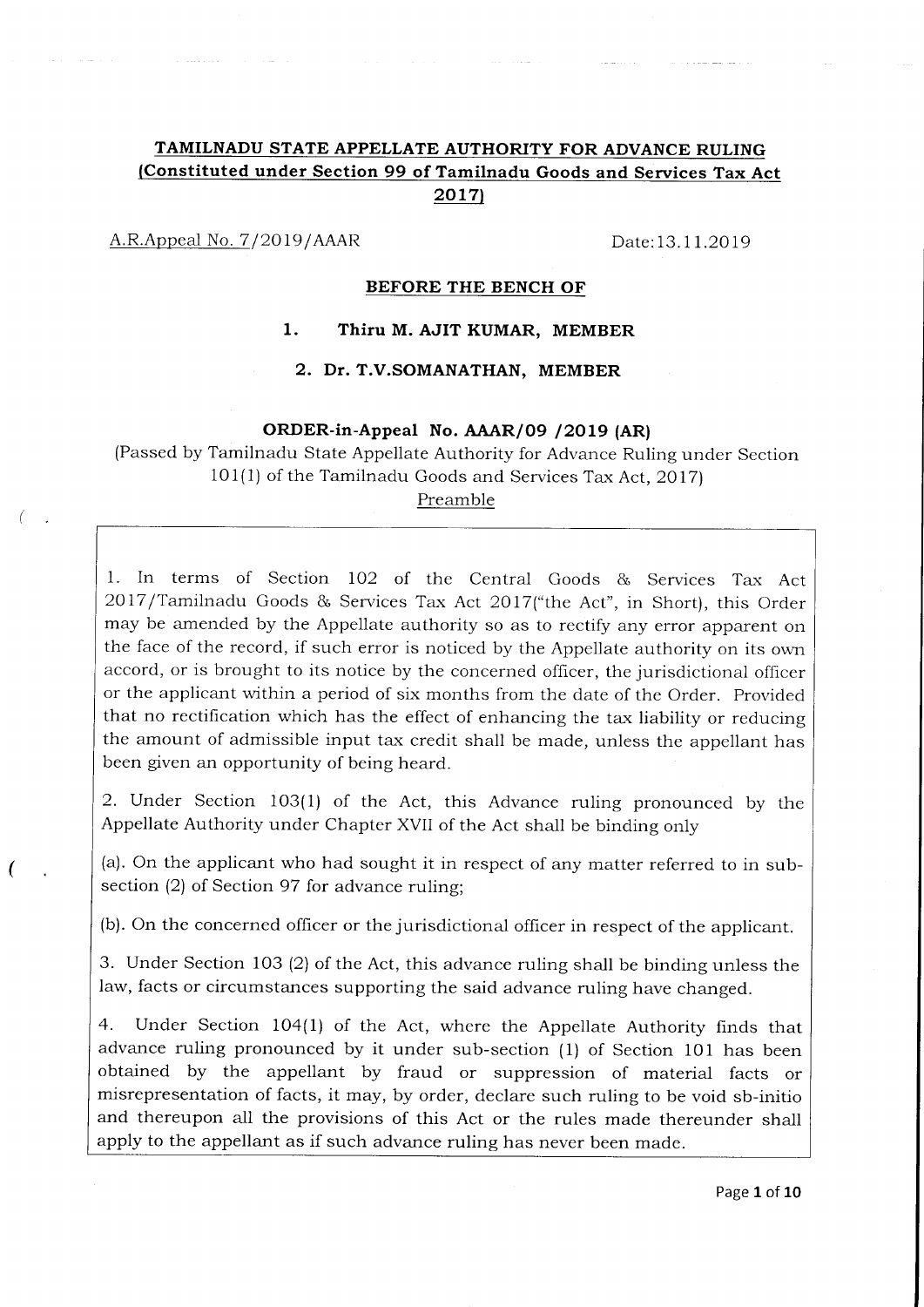# TAMILNADU STATE APPELLATE AUTHORITY FOR ADVANCE RULING (Constituted under Section 99 of Tamilnadu Goods and Services Tax Act 2017)

A.R.Appeal No. 7/2019/AAAR Date:13.11.2019

(

### BEFORE THE BENCH OF

## l. Thiru M. AJIT KUMAR, MEMBER

### 2. Dr. T.V.SOMANATHAN, MEMBER

#### ORDER-in-Appeal No. AAAR/09 / 2019 (AR)

(Passed by Tamilnadu State Appellate Authority for Advance Ruling under Section  $101(1)$  of the Tamilnadu Goods and Services Tax Act, 2017)

Preamble

1. In terms of Section IO2 of the Central Goods & Services Tax Act 2017/Tamilnadu Goods & Services Tax Act 2017("the Act", in Short), this Order may be amended by the Appellate authority so as to rectify any error apparent on the face of the record, if such error is noticed by the Appellate authority on its own accord, or is brought to its notice by the concerned officer, the jurisdictional officer or the applicant within a period of six months from the date of the Order. Provided that no rectification which has the effect of enhancing the tax liability or reducing the amount of admissible input tax credit shall be made, unless the appellant has been given an opportunity of being heard.

2. Under Section 103(1) of the Act, this Advance ruling pronounced by the Appellate Authority under chapter XVII of the Act shall be binding only

(a). On the applicant who had sought it in respect of any matter referred to in subsection (2) of Section 97 for advance ruling;

(b). On the concerned officer or the jurisdictional officer in respect of the applicant.

3. Under Section 103 (2) of the Act, this advance ruling shall be binding unless the law, facts or circumstances supporting the said advance ruling have changed.

4. Under Section 104(1) of the Act, where the Appellate Authority finds that advance ruling pronounced by it under sub-section (1) of Section 101 has been obtained by the appellant by fraud or suppression of material facts or misrepresentation of facts, it may, by order, declare such ruling to be void sb-initio and thereupon all the provisions of this Act or the rules made thereunder shall apply to the appellant as if such advance ruling has never been made.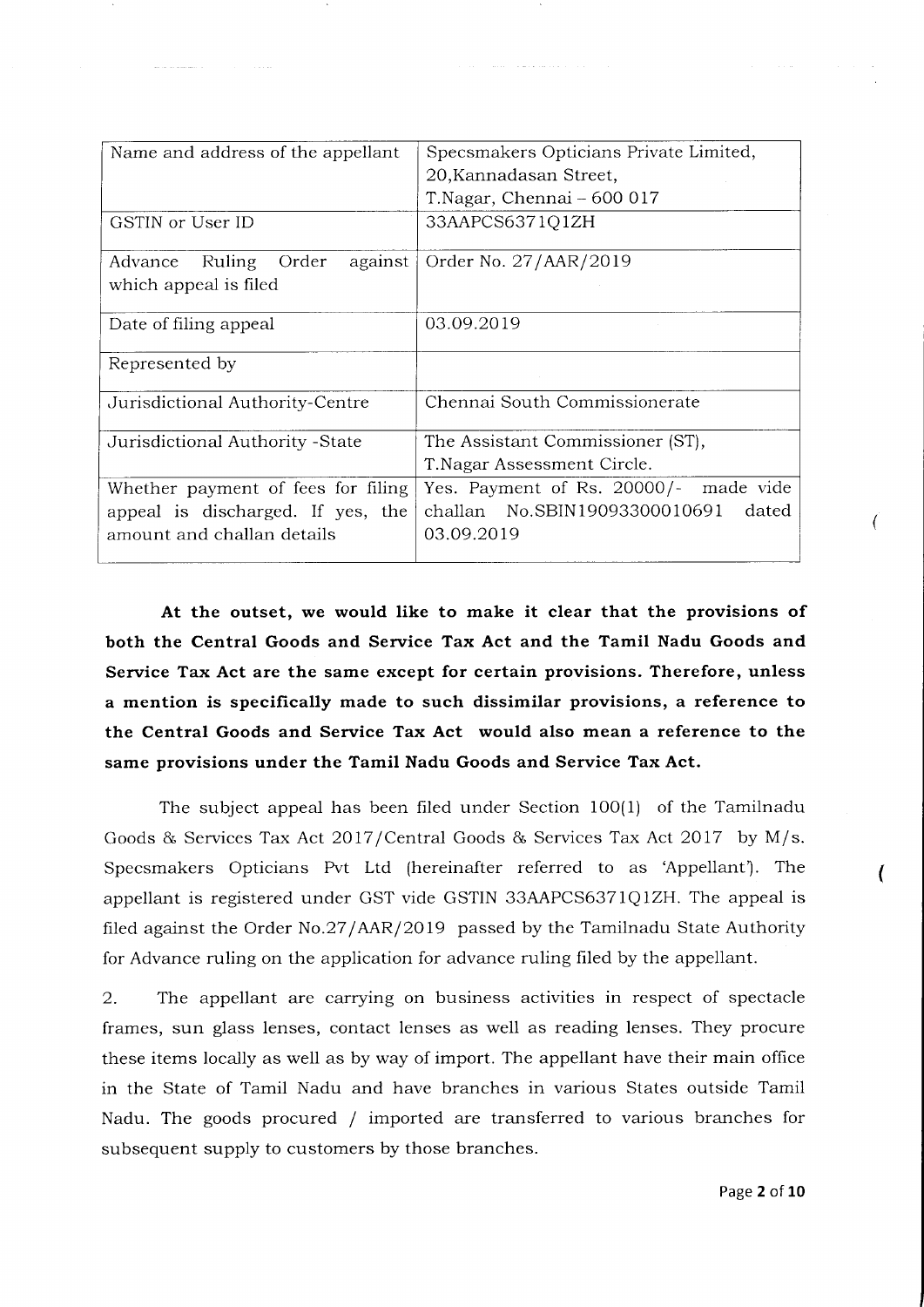| Name and address of the appellant     | Specsmakers Opticians Private Limited, |
|---------------------------------------|----------------------------------------|
|                                       | 20, Kannadasan Street,                 |
|                                       | T.Nagar, Chennai - 600 017             |
| GSTIN or User ID                      | 33AAPCS6371Q1ZH                        |
| Ruling<br>Order<br>against<br>Advance | Order No. 27/AAR/2019                  |
| which appeal is filed                 |                                        |
| Date of filing appeal                 | 03.09.2019                             |
| Represented by                        |                                        |
| Jurisdictional Authority-Centre       | Chennai South Commissionerate          |
| Jurisdictional Authority - State      | The Assistant Commissioner (ST),       |
|                                       | T. Nagar Assessment Circle.            |
| Whether payment of fees for filing    | Yes. Payment of Rs. 20000/- made vide  |
| appeal is discharged. If yes, the     | challan No.SBIN19093300010691<br>dated |
| amount and challan details            | 03.09.2019                             |

At the outset, we would like to make it clear that the provisions of both the Central Goods and Service Tax Act and the Tamil Nadu Goods and Service Tax Act are the same except for certain provisions. Therefore, unless a mention is specifically made to such dissimilar provisions, a reference to the Central Goods and Service Tax Act would also mean a reference to the same provisions under the Tamil Nadu Goods and Service Tax Act.

The subject appeal has been filed under Section 100(1) of the Tamilnadu Goods & Services Tax Act 2017/Central Goods & Services Tax Act 2017 by M/s. Specsmakers Opticians Pvt Ltd (hereinafter referred to as'Appellant'). The appellant is registered under GST vide GSTIN 33AAPCS6371Q1ZH. The appeal is filed against the Order No.27/AAR/2019 passed by the Tamilnadu State Authority for Advance ruling on the application for advance ruling filed by the appellant.

2. The appellant are carrying on business activities in respect of spectacle frames, sun glass lenses, contact lenses as well as reading lenses. They procure these items locally as well as by way of import. The appellant have their main office in the State of Tamil Nadu and have branches in various States outside Tamil Nadu. The goods procured / imported are transferred to various branches for subsequent supply to customers by those branches.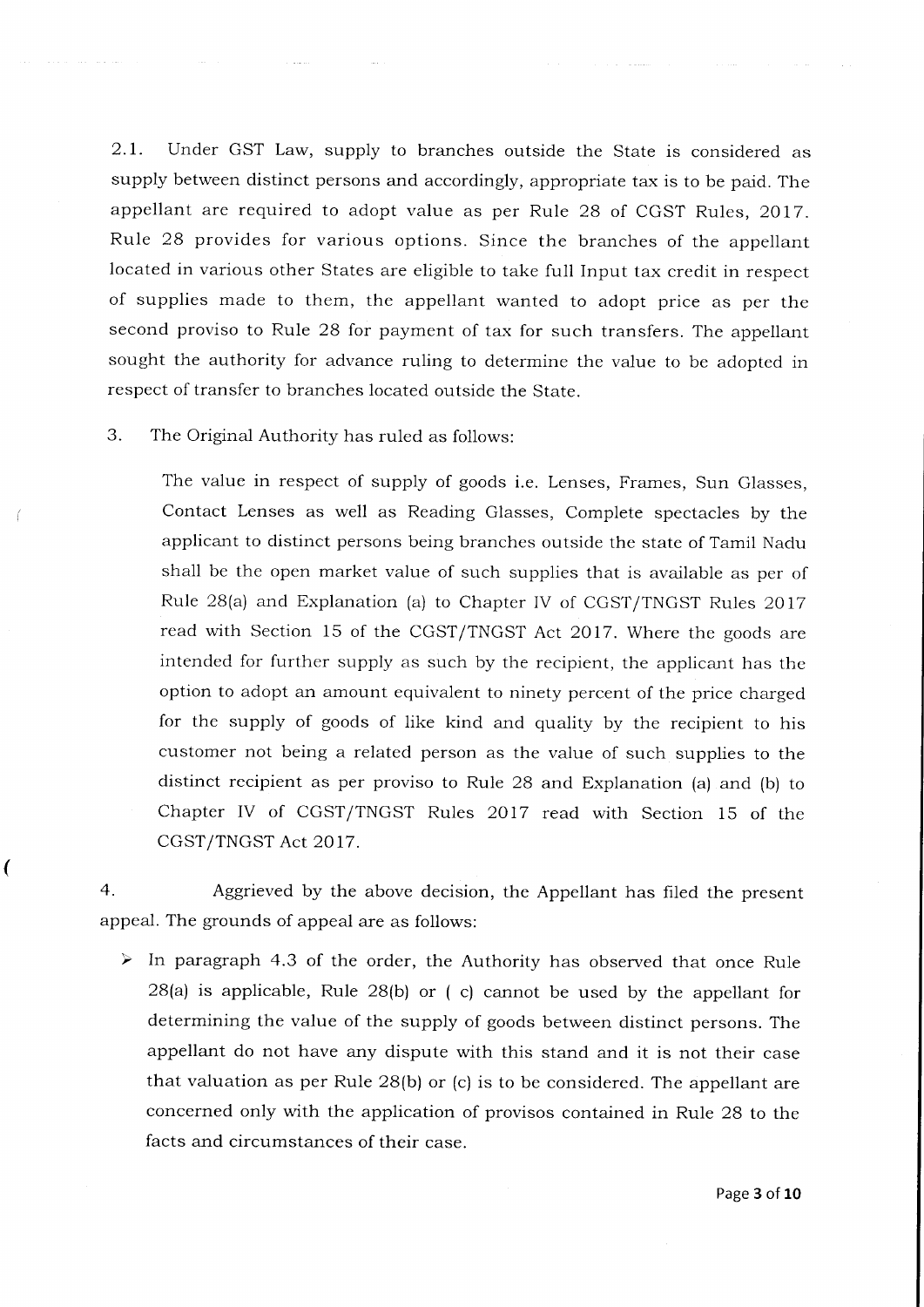2.7. Under GST Law, supply to branches outside the State is considered as supply between distinct persons and accordingly, appropriate tax is to be paid. The appellant are required to adopt value as per Rule 28 of CGST Rules, 2017. Rule 28 provides for various options. Since the branches of the appellant located in various other States are eligible to take full Input tax credit in respect of supplies made to them, the appellant wanted to adopt price as per the second proviso to Rule 28 for payment of tax for such transfers. The appellant sought the authority for advance ruling to determine the value to be adopted in respect of transfer to branches located outside the State.

3. The Original Authority has ruled as follows:

 $\overline{\mathcal{L}}$ 

The value in respect of supply of goods i.e. Lenses, Frames, Sun Glasses, Contact Lenses as well as Reading Glasses, Complete spectacles by the applicant to distinct persons being branches outside the state of Tamil Nadu shall be the open market value of such supplies that is available as per of Rule 2B(a) and Explanation (a) to Chapter IV of CGST/TNGST Rules 2017 read with Section 15 of the CGST/TNGST Act 2017. Where the goods are intended for further supply as such by the recipient, the applicant has the option to adopt an amount equivalent to ninety percent of the price charged for the supply of goods of like kind and quality by the recipient to his customer not being a related person as the value of such supplies to the distinct recipient as per proviso to Rule 28 and Explanation (a) and (b) to Chapter IV of CGST/TNGST Rules 2017 read with Section i5 of the CGST/TNGST Act 2OI7.

4. Aggrieved by the above decision, the Appellant has fi1ed the present appeal. The grounds of appeal are as follows:

 $\triangleright$  In paragraph 4.3 of the order, the Authority has observed that once Rule 2B(a) is applicable, Rule 2B(b) or ( c) cannot be used by the appellant for determining the value of the supply of goods between distinct persons. The appellant do not have any dispute with this stand and it is not their case that valuation as per Rule 2B(b) or (c) is to be considered. The appellant are concerned only with the application of provisos contained in Rule 28 to the facts and circumstances of their case.

Page 3 of 10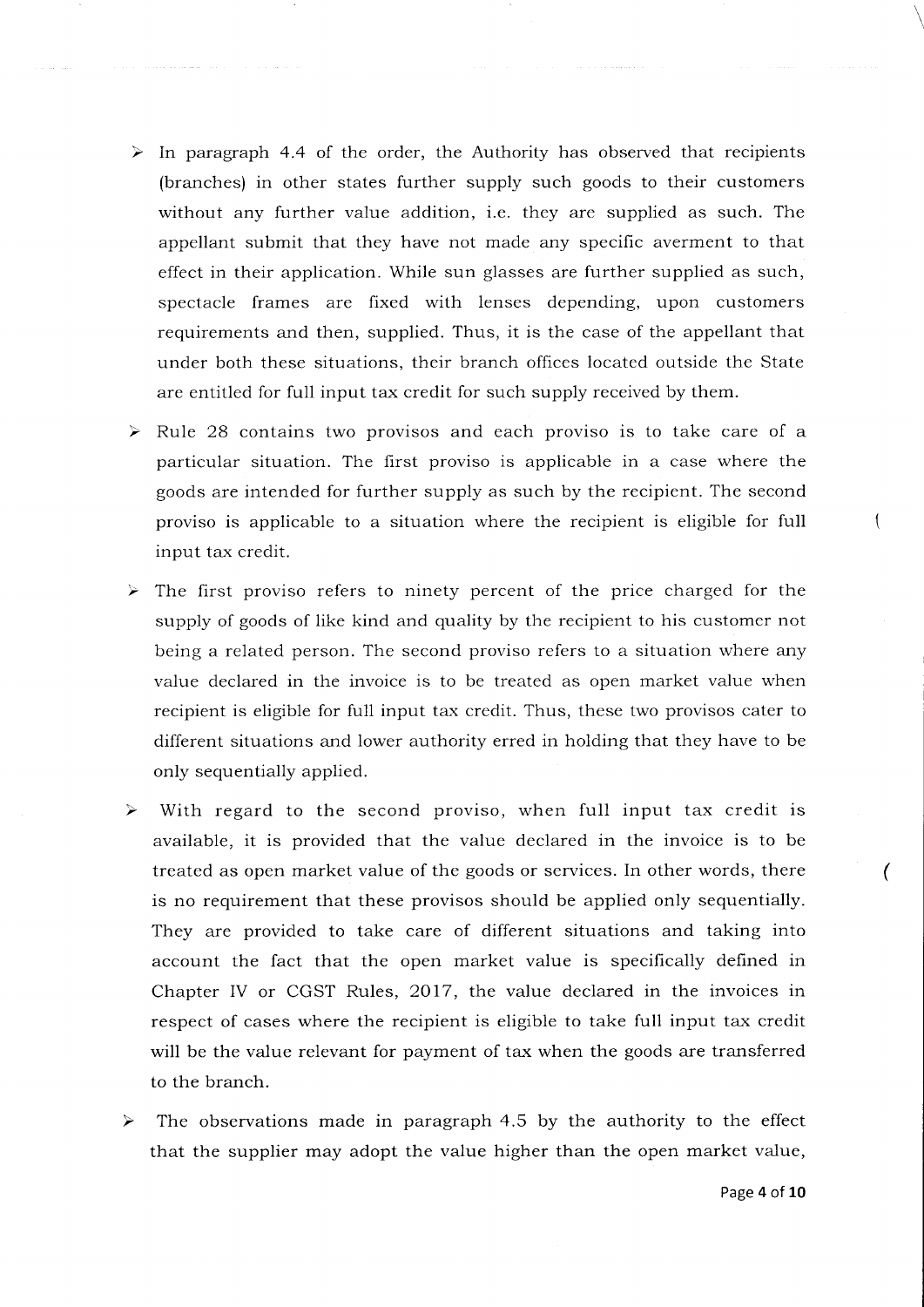- $\triangleright$  In paragraph 4.4 of the order, the Authority has observed that recipients (branches) in other states further supply such goods to their customers without any further value addition, i.e. they are supplied as such. The appellant submit that they have not made any specific averment to that effect in their application. While sun glasses are further supplied as such, spectacle frames are fixed with lenses depending, upon customers requirements and then, supplied. Thus, it is the case of the appellant that under both these situations, their branch offices located outside the State are entitled for full input tax credit for such supply received by them.
- $\blacktriangleright$ Rule 28 contains two provisos and each proviso is to take care of a particular situation. The first proviso is applicable in a case where the goods are intended for further supply as such by the recipient. The second proviso is applicable to a situation where the recipient is eligible for full input tax credit.
- $\triangleright$  The first proviso refers to ninety percent of the price charged for the supply of goods of like kind and quality by the recipient to his customer not being a related person. The second proviso refers to a situation where any value declared in the invoice is to be treated as open market value when recipient is eligible for full input tax credit. Thus, these two provisos cater to different situations and lower authority erred in holding that they have to be only sequentially applied.
- With regard to the second proviso, when full input tax credit is  $\blacktriangleright$ available, it is provided that the value declared in the invoice is to be treated as open market value of the goods or services. In other words, there is no requirement that these provisos should be applied only sequentially. They are provided to take care of different situations and taking into account the fact that the open market value is specifically defined in Chapter IV or CGST Rules, 2017, the value declared in the invoices in respect of cases where the recipient is eligible to take full input tax credit will be the value relevant for payment of tax when the goods are transferred to the branch.
- The observations made in paragraph 4.5 by the authority to the effect that the supplier may adopt the value higher than the open market value,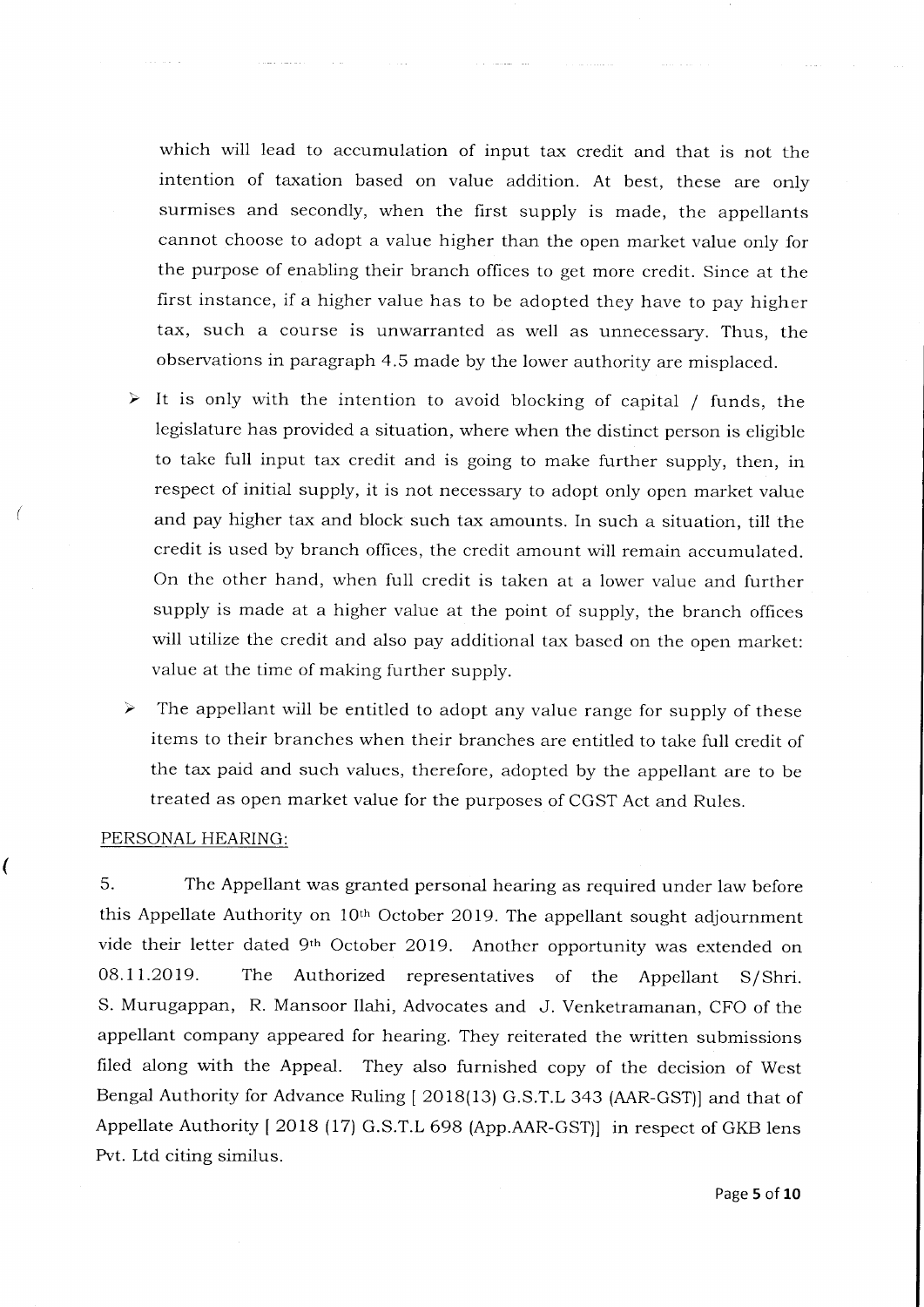which will lead to accumulation of input tax credit and that is not the intention of taxation based on value addition. At best, these are only surmises and secondly, when the first supply is made, the appellants cannot choose to adopt a value higher than the open market value only for the purpose of enabling their branch offices to get more credit. Since at the first instance, if a higher value has to be adopted they have to pay higher tax, such a course is unwarranted as well as unnecessary. Thus, the observations in paragraph 4.5 made by the lower authority are misplaced.

- It is only with the intention to avoid blocking of capital / funds, the ≻ legislature has provided a situation, where when the distinct person is eligible to take full input tax credit and is going to make further supply, then, in respect of initial supply, it is not necessary to adopt only open market value and pay higher tax and block such tax amounts. In such a situation, till the credit is used by branch offices, the credit amount will remain accumulated. On the other hand, when full credit is taken at a lower value and further supply is made at a higher value at the point of supply, the branch offices will utilize the credit and also pay additional tax based on the open market: value at the time of making further supply.
- $\blacktriangleright$ The appellant will be entitled to adopt any value range for supply of these items to their branches when their branches are entitled to take full credit of the tax paid and such values, therefore, adopted by the appellant are to be treated as open market value for the purposes of CGST Act and Rules.

#### PERSONAL HEARING:

l

5. The Appellant was granted personal hearing as required under law before this Appellate Authority on  $10<sup>th</sup>$  October 2019. The appellant sought adjournment vide their letter dated 9<sup>th</sup> October 2019. Another opportunity was extended on 08.11.2019. The Authorized representatives of the Appellant S/Shri. S. Murugappan, R. Mansoor Ilahi, Advocates and J. Venketramanan, CFO of the appellant company appeared for hearing. They reiterated the written submissions filed along with the Appeal. They also furnished copy of the decision of West Bengal Authority for Advance Ruling [ 2018(13) G.S.T.L 343 (AAR-GST)] and that of Appellate Authority | 2OIB (17) G.S.T.L 698 (App.AAR-cST)l in respect of GKB lens Pvt. Ltd citing similus.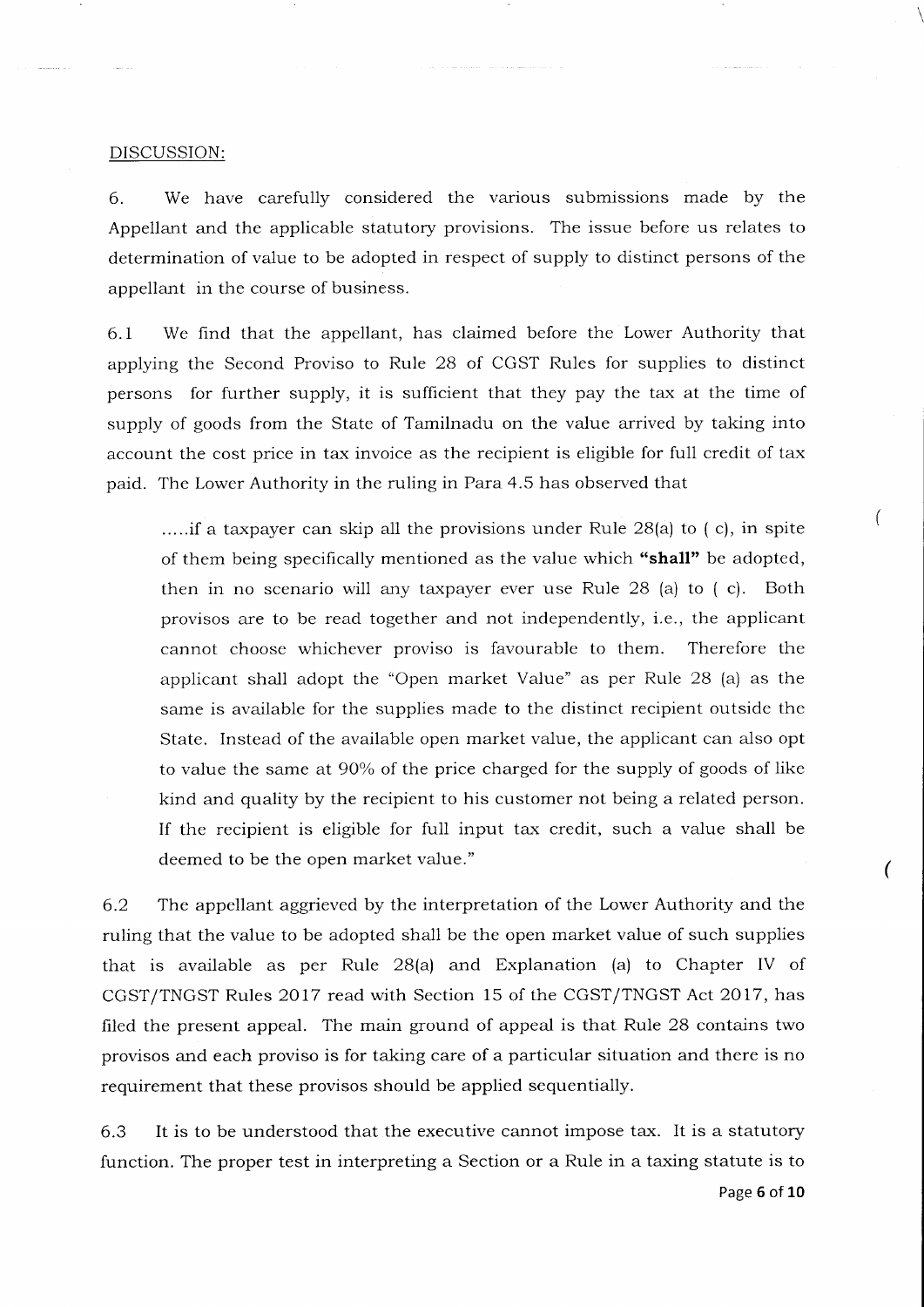#### DISCUSSION:

6. We have carefully considered the various submissions made by the Appellant and the applicable statutory provisions. The issue before us relates to determination of value to be adopted in respect of supply to distinct persons of the appellant in the course of business.

6.I We find that the appellant, has claimed before the Lower Authority that applying the Second Proviso to Rule 28 of CGST Rules for supplies to distinct persons for further supply, it is sufficient that they pay the tax at the time of supply of goods from the State of Tamilnadu on the value arrived by taking into account the cost price in tax invoice as the recipient is eligible for fuIl credit of tax paid. The Lower Authority in the ruling in Para 4.5 has observed that

.....if a taxpayer can skip all the provisions under Rule 2B(a) to (c), in spite of them being specifically mentioned as the value which "shall" be adopted, then in no scenario will any taxpayer ever use Rule 28 (a) to ( c). Both provisos are to be read together and not independently, i.e., the applicant cannot choose whichever proviso is favourable to them. Therefore the applicant shall adopt the "Open market Value" as per Rule 28 (a) as the same is available for the supplies made to the distinct recipient outside the State. Instead of the available open market value, the applicant can also opt to value the same at 90% of the price charged for the supply of goods of like kind and quality by the recipient to his customer not being a related person. If the recipient is eligible for full input tax credit, such a value shall be deemed to be the open market value."

6.2 The appellant aggrieved by the interpretation of the Lower Authority and the ruling that the value to be adopted shall be the open market value of such supplies that is available as per Rule  $28(a)$  and Explanation (a) to Chapter IV of CGST/TNGST Rules 2017 read with Section 15 of the CGST/TNGST Act 2017, has filed the present appeal. The main ground of appeal is that Rule 28 contains two provisos and each proviso is for taking care of a particular situation and there is no requirement that these provisos should be applied sequentially.

6.3 It is to be understood that the executive cannot impose tax. It is a statutory function. The proper test in interpreting a Section or a Rule in a taxing statute is to  $\overline{(\ }$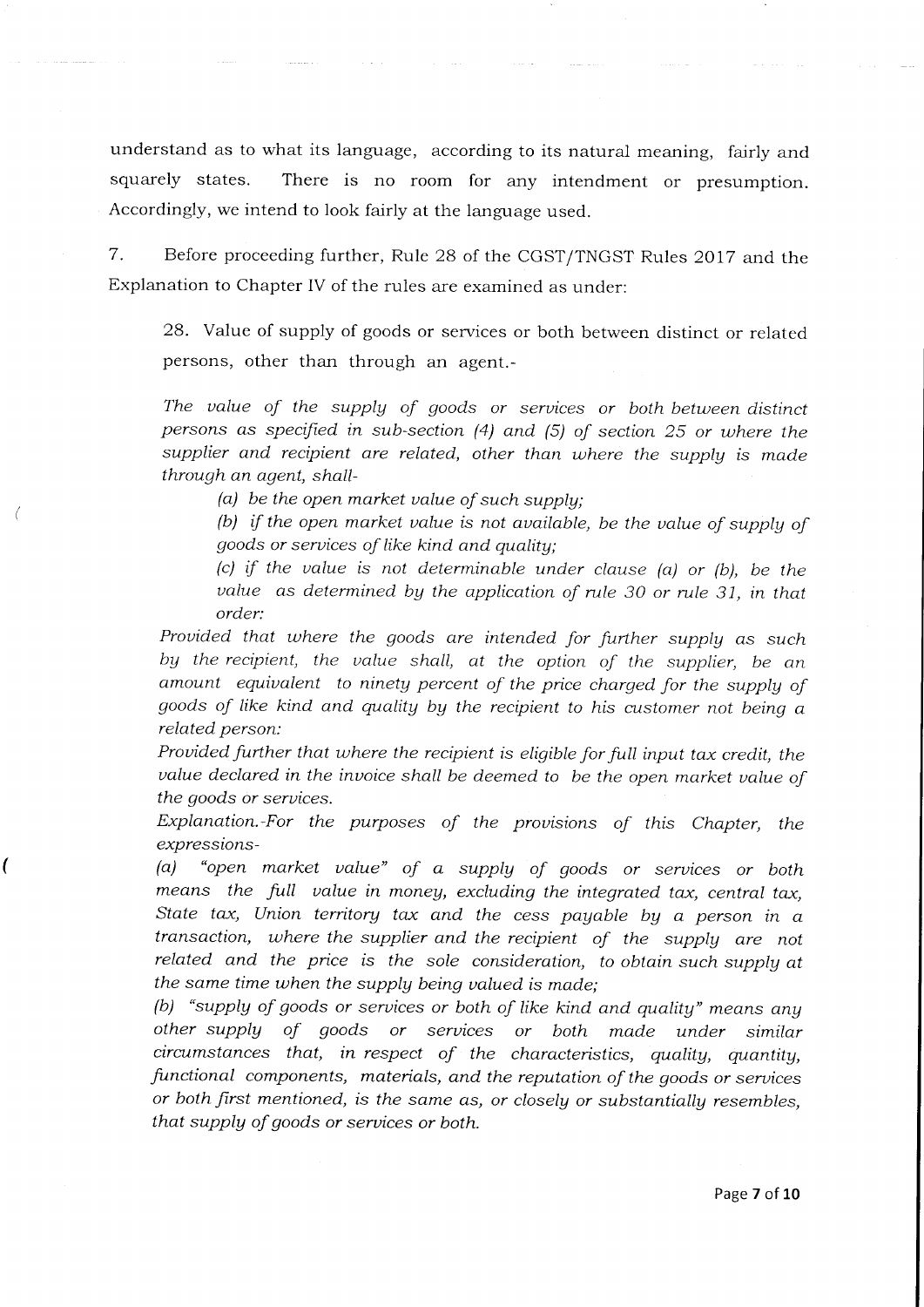understand as to what its language, according to its natural meaning, fairly and squarely states. There is no room for any intendment or presumption. Accordingly, we intend to look fairly at the language used.

7. Before proceeding further, Rule 28 of the CGST/TNGST Rules 2oI7 and the Explanation to Chapter IV of the rules are examined as under:

28. Value of supply of goods or services or both between distinct or related persons, other than through an agent.-

The value of the supply of goods or services or both between distinct persons as specified in sub-section (4) and (5) of section 25 or tuhere the supplier and recipient are related, other than where the supply is made through an agent, shall-

(a) be the open market ualue of such supply;

ſ

(b) if the open market value is not available, be the value of supply of goods or seruices of like kind and qualitg;

(c) if the value is not determinable under clause (a) or (b), be the value as determined by the application of rule 30 or rule 31, in that order:

Provided that where the goods are intended for further supply as such by the recipient, the value shall, at the option of the supplier, be an amount equivalent to ninety percent of the price charged for the supply of goods of like kind and quality by the recipient to his customer not being a related person:

Provided further that where the recipient is eligible for full input tax credit, the value declared in the invoice shall be deemed to be the open market value of the goods or seruices.

Explanation.-For the purposes of the provisions of this Chapter, the expressions-

(a) "open market ualue" of a supply of goods or seruices or both means the full value in money, excluding the integrated tax, central tax, State tax, Union territory tax and the cess payable by a person in  $a$ transaction, uhere the supplier and the recipient of the supplg are not related and the price is the sole consideration, to obtain such supply at the same time when the supplg being ualued is made;

(b) "supply of goods or services or both of like kind and quality" means any other supply of goods or seruices or both made under similar circumstances that, in respect of the characteristics, quality, quantity, functional components, materials, and the reputation of the goods or seruices or both first mentioned, is the same as, or closely or substantially resembles, that supplg of goods or seruices or both.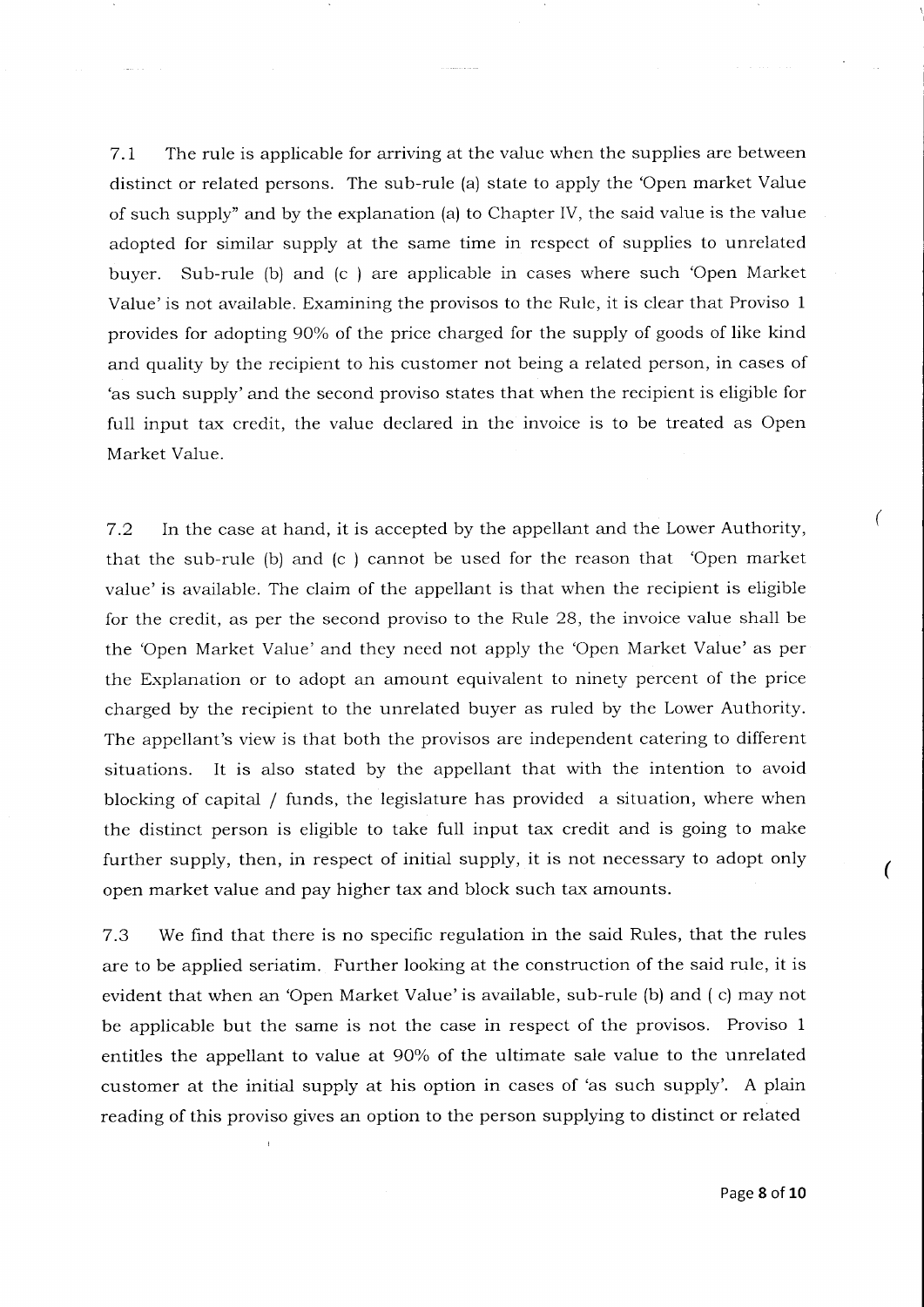7.I The rule is applicable for arriving at the value when the supplies are between distinct or related persons. The sub-rule (a) state to apply the 'Open market Value of such supply" and by the explanation (a) to Chapter IV, the said value is the value adopted for similar supply at the same time in respect of supplies to unrelated buyer. Sub-rule (b) and (c ) are applicable in cases where such 'Open Market Value'is not available. Examining the provisos to the Rule, it is clear that Proviso <sup>1</sup> provides for adopting 90% of the price charged for the supply of goods of like kind and quality by the recipient to his customer not being a related person, in cases of 'as such supply'and the second proviso states that when the recipient is eligible for full input tax credit, the value declared in the invoice is to be treated as Open Market Value.

7.2 In the case at hand, it is accepted by the appellant and the Lower Authority, that the sub-rule (b) and (c ) cannot be used for the reason that 'Open market value'is available. The claim of the appellant is that when the recipient is eligible for the credit, as per the second proviso to the Rule 28, the invoice value shall be the 'Open Market Value'and they need not apply the 'Open Market Value'as per the Explanation or to adopt an amount equivalent to ninety percent of the price charged by the recipient to the unrelated buyer as ruled by the Lower Authority. The appellant's view is that both the provisos are independent catering to different situations. It is also stated by the appellant that with the intention to avoid blocking of capital / funds, the legislature has provided a situation, where when the distinct person is eligible to take full input tax credit and is going to make further supply, then, in respect of initial supply, it is not necessary to adopt only open market value and pay higher tax and block such tax amounts.

7.3 We find that there is no specific regulation in the said Rules, that the rules are to be applied seriatim. Further looking at the construction of the said rule, it is evident that when an 'Open Market Value'is available, sub-rule (b) and ( c) may not be applicable but the same is not the case in respect of the provisos. Proviso <sup>1</sup> entitles the appellant to value at 90% of the ultimate sale value to the unrelated customer at the initial supply at his option in cases of 'as such supply'. A plain reading of this proviso gives an option to the person supplying to distinct or related

 $\big($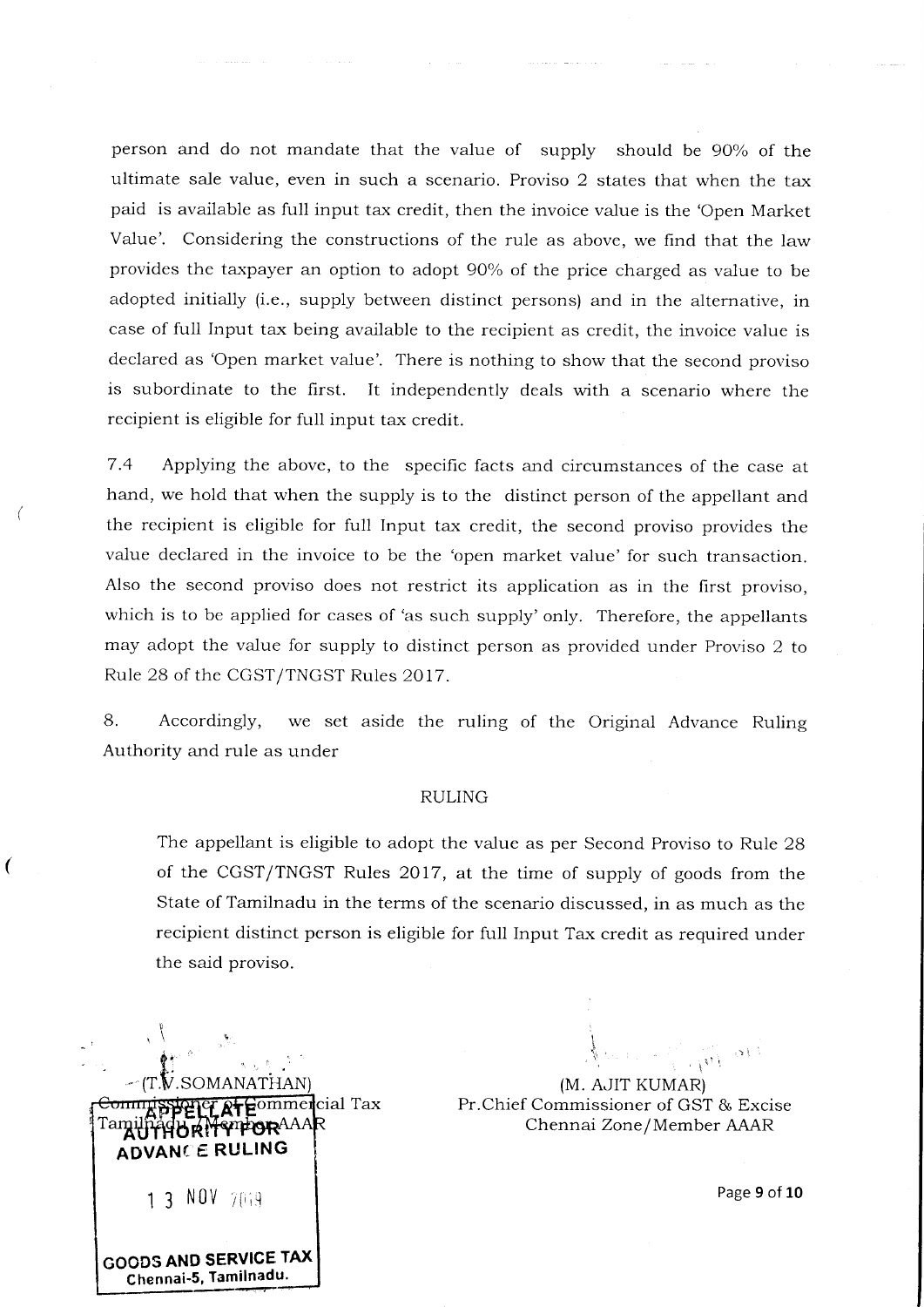person and do not mandate that the value of supply should be 90% of the ultimate sale value, even in such a scenario. Proviso 2 states that when the tax paid is available as full input tax credit, then the invoice value is the 'Open Market Value'. Considering the constructions of the rule as above, we find that the law provides the taxpayer an option to adopt 90% of the price charged as value to be adopted initially (i.e., supply between distinct persons) and in the alternative, in case of fu1l Input tax being available to the recipient as credit, the invoice value is declared as 'Open market value'. There is nothing to show that the second proviso is subordinate to the first. It independently deals with a scenario where the recipient is eligible for full input tax credit.

التاليب

7.4 Applying the above, to the specific facts and circumstances of the case at hand, we hold that when the supply is to the distinct person of the appellant and the recipient is eligible for full Input tax credit, the second proviso provides the value declared in the invoice to be the 'open market value' for such transaction. Also the second proviso does not restrict its application as in the first proviso, which is to be applied for cases of 'as such supply'only. Therefore, the appellants may adopt the value for supply to distinct person as provided under Proviso 2 to Rule 28 of the CGST/TNGST Rules 2OI7.

8. Accordingly, we set aside the ruling of the Original Advance Ruling Authority and rule as under

#### RULING

The appellant is eligible to adopt the value as per Second Proviso to Rule 28 of the CGST/TNGST Rules 2OI7, at the time of supply of goods from the State of Tamilnadu in the terms of the scenario discussed, in as much as the recipient distinct person is eligible for full Input Tax credit as required under the said proviso.

Commercial Tax BRITTPOR<sup>AAA</sup> **ADVANCE RULING** 1 3 NOV 7019 GOODS AND SERVICE TAX

 $\epsilon$ 

Chennai-5, Tamilnadu.

 $\mathbf{I} = \{ \mathbf{I} \in \mathbb{R}^d \mid \mathbf{I} \in \mathbb{R}^d \mid \mathbf{I} \in \mathbb{R}^d \}$ (M. AJIT KUMAR) Pr.Chief Commissioner of GST & Excise Chennai Zone /Member AAAR

i

Page 9 of 10

 $\{\mathbf{v}\}^{-1}$